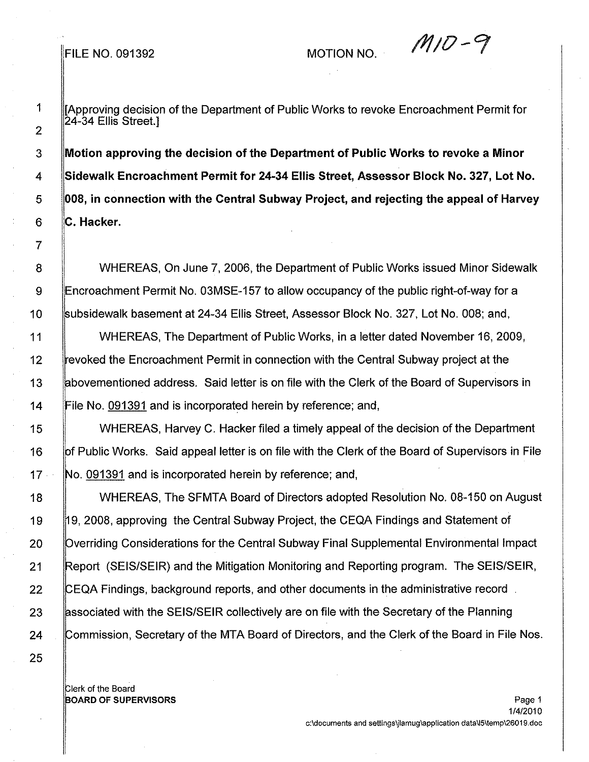## FILE NO. 091392 MOTION NO.

 $M10 - 9$ 

1 2 3 4 5 6 7 25

[Approving decision of the Department of Public Works to revoke Encroachment Permit for 24-34 Ellis Street.]

Motion approving the decision of the Department of Public Works to revoke a Minor Sidewalk Encroachment Permit for 24-34 Ellis Street, Assessor Block No. 327, Lot No. 008, in connection with the Central Subway Project, and rejecting the appeal of Harvey C. Hacker.

8 Number 2, 2006, the Department of Public Works issued Minor Sidewalk 9 Encroachment Permit No. 03MSE-157 to allow occupancy of the public right-of-way for a 10 ubsidewalk basement at 24-34 Ellis Street, Assessor Block No. 327, Lot No. 008; and,

11 WHEREAS, The Department of Public Works, in a letter dated November 16, 2009, 12 evoked the Encroachment Permit in connection with the Central Subway project at the 13 bovementioned address. Said letter is on file with the Clerk of the Board of Supervisors in 14 **File No. 091391 and is incorporated herein by reference; and,** 

15 WHEREAS, Harvey C. Hacker filed a timely appeal of the decision of the Department 16 f Fublic Works. Said appeal letter is on file with the Clerk of the Board of Supervisors in File 17 No. 091391 and is incorporated herein by reference; and,

18 WHEREAS, The SFMTA Board of Directors adopted Resolution No. 08-150 on August 19 | 19, 2008, approving the Central Subway Project, the CEQA Findings and Statement of 20 **Constant Considerations for the Central Subway Final Supplemental Environmental Impact** 21 **Eport (SEIS/SEIR) and the Mitigation Monitoring and Reporting program. The SEIS/SEIR,** 22 ECQA Findings, background reports, and other documents in the administrative record. 23 Sessociated with the SEIS/SEIR collectively are on file with the Secretary of the Planning 24 Commission, Secretary of the MTA Board of Directors, and the Clerk of the Board in File Nos.

lerk of the Board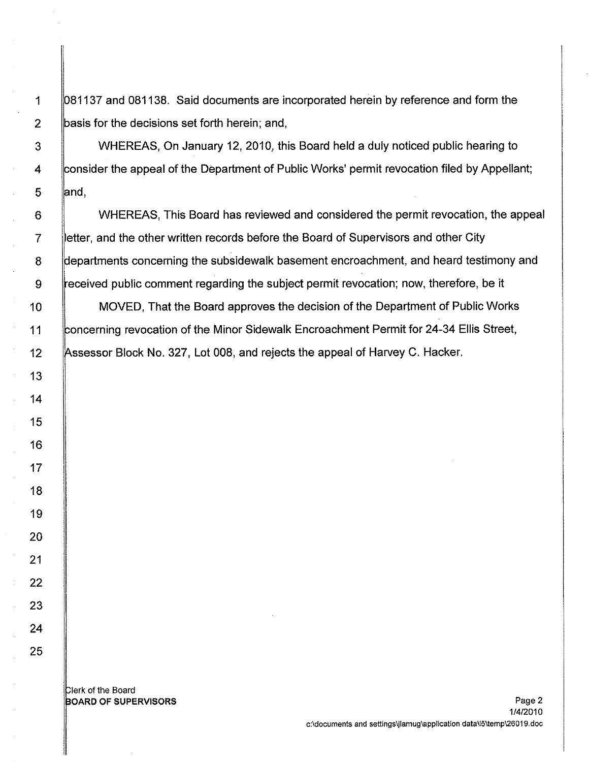1 081137 and 081138. Said documents are incorporated herein by reference and form the 2 **basis for the decisions set forth herein; and,** 

3 WHEREAS, On January 12, 2010, this Board held a duly noticed public hearing to 4 Consider the appeal of the Department of Public Works' permit revocation filed by Appellant;  $5$  and,

6 WHEREAS, This Board has reviewed and considered the permit revocation, the appeal 7 **letter, and the other written records before the Board of Supervisors and other City** 8 epartments concerning the subsidewalk basement encroachment, and heard testimony and 9 Feceived public comment regarding the subject permit revocation; now, therefore, be it

10 | MOVED, That the Board approves the decision of the Department of Public Works 11 | concerning revocation of the Minor Sidewalk Encroachment Permit for 24-34 Ellis Street, 12 Assessor Block No. 327, Lot 008, and rejects the appeal of Harvey C. Hacker.

lerk of the Board